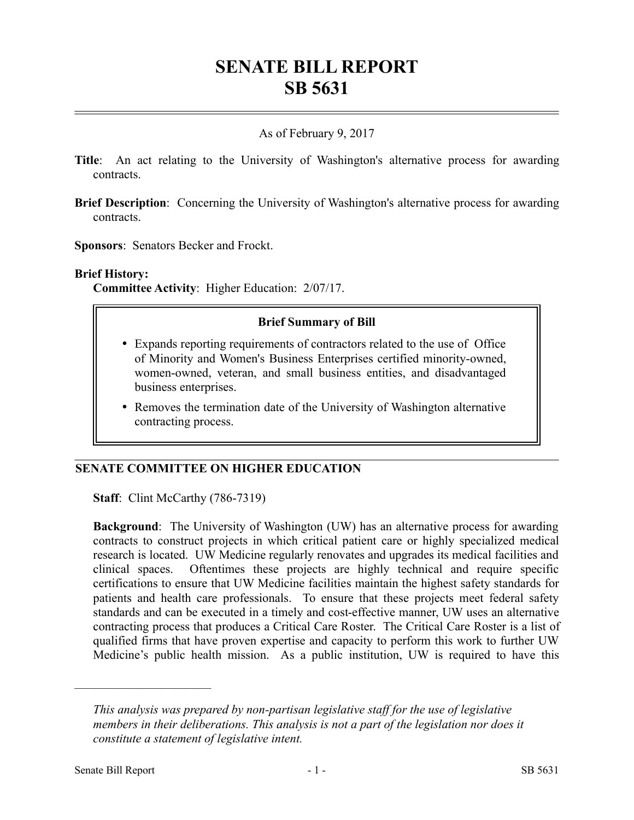# **SENATE BILL REPORT SB 5631**

# As of February 9, 2017

- **Title**: An act relating to the University of Washington's alternative process for awarding contracts.
- **Brief Description**: Concerning the University of Washington's alternative process for awarding contracts.

**Sponsors**: Senators Becker and Frockt.

### **Brief History:**

**Committee Activity**: Higher Education: 2/07/17.

### **Brief Summary of Bill**

- Expands reporting requirements of contractors related to the use of Office of Minority and Women's Business Enterprises certified minority-owned, women-owned, veteran, and small business entities, and disadvantaged business enterprises.
- Removes the termination date of the University of Washington alternative contracting process.

# **SENATE COMMITTEE ON HIGHER EDUCATION**

**Staff:** Clint McCarthy (786-7319)

**Background**: The University of Washington (UW) has an alternative process for awarding contracts to construct projects in which critical patient care or highly specialized medical research is located. UW Medicine regularly renovates and upgrades its medical facilities and clinical spaces. Oftentimes these projects are highly technical and require specific certifications to ensure that UW Medicine facilities maintain the highest safety standards for patients and health care professionals. To ensure that these projects meet federal safety standards and can be executed in a timely and cost-effective manner, UW uses an alternative contracting process that produces a Critical Care Roster. The Critical Care Roster is a list of qualified firms that have proven expertise and capacity to perform this work to further UW Medicine's public health mission. As a public institution, UW is required to have this

––––––––––––––––––––––

*This analysis was prepared by non-partisan legislative staff for the use of legislative members in their deliberations. This analysis is not a part of the legislation nor does it constitute a statement of legislative intent.*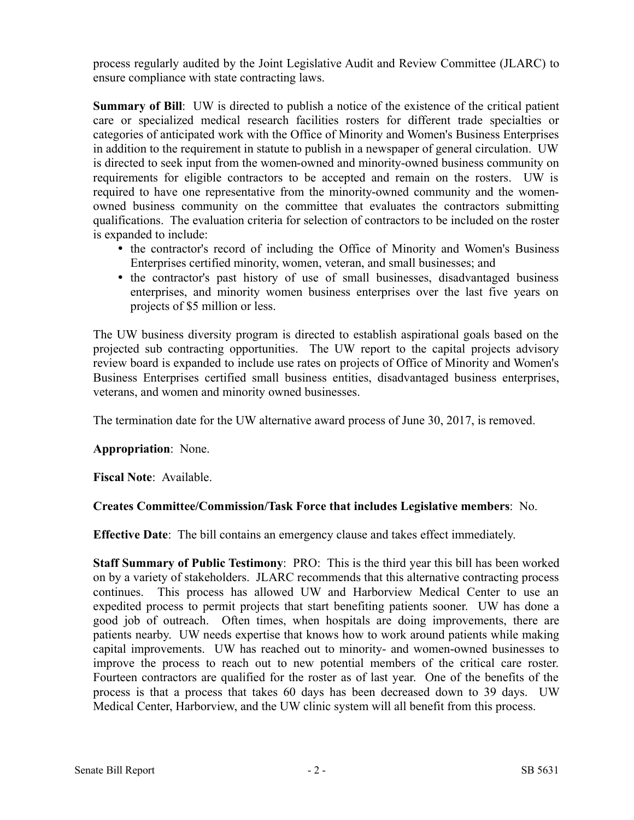process regularly audited by the Joint Legislative Audit and Review Committee (JLARC) to ensure compliance with state contracting laws.

**Summary of Bill:** UW is directed to publish a notice of the existence of the critical patient care or specialized medical research facilities rosters for different trade specialties or categories of anticipated work with the Office of Minority and Women's Business Enterprises in addition to the requirement in statute to publish in a newspaper of general circulation. UW is directed to seek input from the women-owned and minority-owned business community on requirements for eligible contractors to be accepted and remain on the rosters. UW is required to have one representative from the minority-owned community and the womenowned business community on the committee that evaluates the contractors submitting qualifications. The evaluation criteria for selection of contractors to be included on the roster is expanded to include:

- the contractor's record of including the Office of Minority and Women's Business Enterprises certified minority, women, veteran, and small businesses; and
- the contractor's past history of use of small businesses, disadvantaged business enterprises, and minority women business enterprises over the last five years on projects of \$5 million or less.

The UW business diversity program is directed to establish aspirational goals based on the projected sub contracting opportunities. The UW report to the capital projects advisory review board is expanded to include use rates on projects of Office of Minority and Women's Business Enterprises certified small business entities, disadvantaged business enterprises, veterans, and women and minority owned businesses.

The termination date for the UW alternative award process of June 30, 2017, is removed.

# **Appropriation**: None.

**Fiscal Note**: Available.

# **Creates Committee/Commission/Task Force that includes Legislative members**: No.

**Effective Date**: The bill contains an emergency clause and takes effect immediately.

**Staff Summary of Public Testimony**: PRO: This is the third year this bill has been worked on by a variety of stakeholders. JLARC recommends that this alternative contracting process continues. This process has allowed UW and Harborview Medical Center to use an expedited process to permit projects that start benefiting patients sooner. UW has done a good job of outreach. Often times, when hospitals are doing improvements, there are patients nearby. UW needs expertise that knows how to work around patients while making capital improvements. UW has reached out to minority- and women-owned businesses to improve the process to reach out to new potential members of the critical care roster. Fourteen contractors are qualified for the roster as of last year. One of the benefits of the process is that a process that takes 60 days has been decreased down to 39 days. UW Medical Center, Harborview, and the UW clinic system will all benefit from this process.